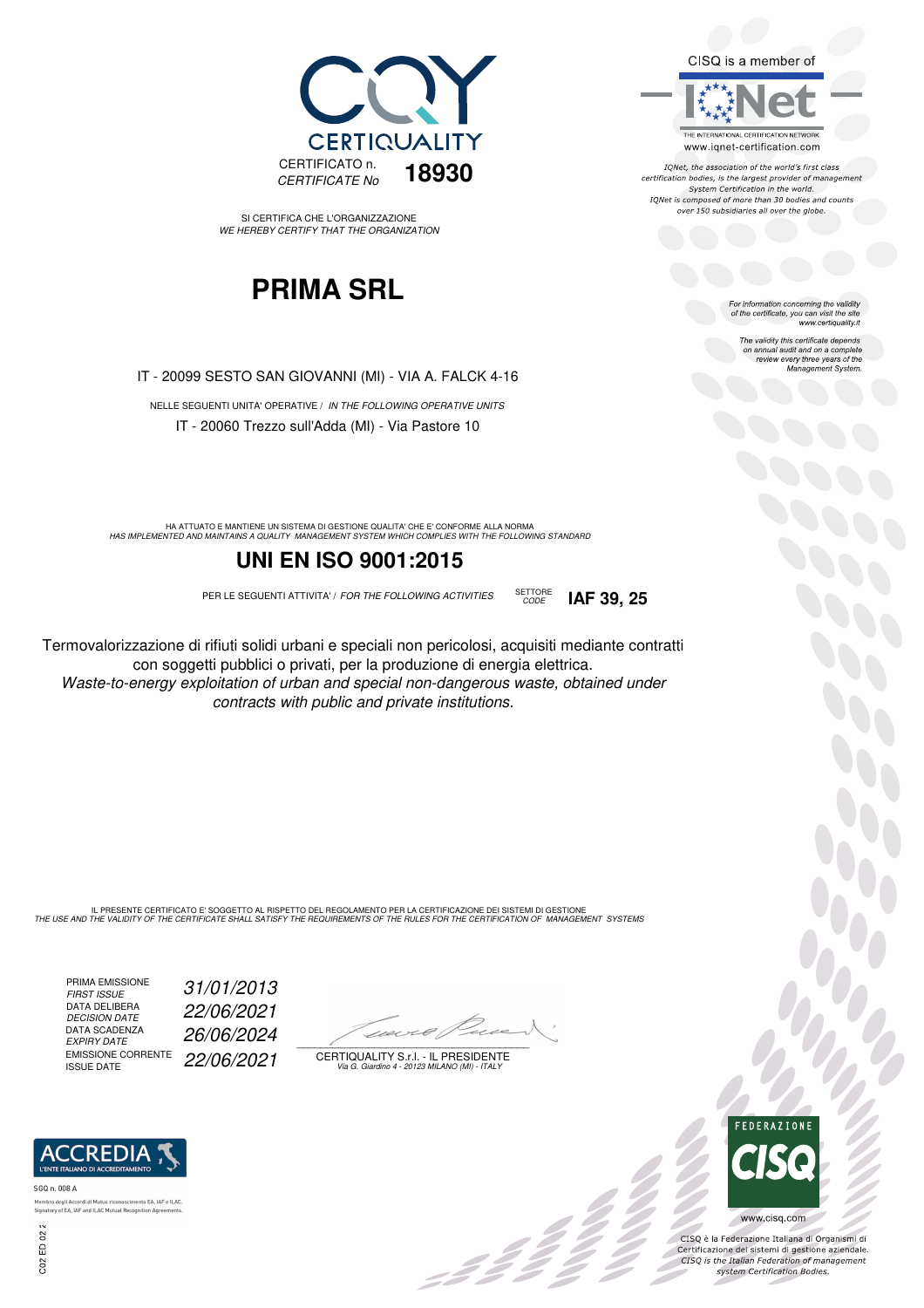

SI CERTIFICA CHE L'ORGANIZZAZIONE WE HEREBY CERTIFY THAT THE ORGANIZATION

## **PRIMA SRL**

IT - 20099 SESTO SAN GIOVANNI (MI) - VIA A. FALCK 4-16

NELLE SEGUENTI UNITA' OPERATIVE / IN THE FOLLOWING OPERATIVE UNITS IT - 20060 Trezzo sull'Adda (MI) - Via Pastore 10

HA ATTUATO E MANTIENE UN SISTEMA DI GESTIONE QUALITA' CHE E' CONFORME ALLA NORMA<br>HAS IMPLEMENTED AND MAINTAINS A QUALITY MANAGEMENT SYSTEM WHICH COMPLIES WITH THE FOLLOWING STANDARD

#### **UNI EN ISO 9001:2015**

PER LE SEGUENTI ATTIVITA' / FOR THE FOLLOWING ACTIVITIES SETTORE

Termovalorizzazione di rifiuti solidi urbani e speciali non pericolosi, acquisiti mediante contratti con soggetti pubblici o privati, per la produzione di energia elettrica. Waste-to-energy exploitation of urban and special non-dangerous waste, obtained under contracts with public and private institutions.

IL PRESENTE CERTIFICATO E' SOGGETTO AL RISPETTO DEL REGOLAMENTO PER LA CERTIFICAZIONE DEI SISTEMI DI GESTIONE<br>THE USE AND THE VALIDITY OF THE CERTIFICATE SHALL SATISFY THE REQUIREMENTS OF THE RULES FOR THE CERTIFICATION OF

PRIMA EMISSIONE<br>FIRST ISSUE DATA DELIBERA<br>DECISION DATE DATA SCADENZA<br>EXPIRY DATE EMISSIONE CORRENTE<br>ISSUE DATE

to EA, IAF e ILAC.

31/01/2013 DECISION DATE 22/06/2021 EXPIRY DATE 26/06/2024 22/06/2021

 $\overline{\phantom{a}}$ 

, 3 3 3 3 3

CERTIQUALITY S.r.l. - IL PRESIDENTE Via G. Giardino 4 - 20123 MILANO (MI) - ITALY



CISQ is a member of

IONet, the association of the world's first class certification bodies, is the largest provider of management System Certification in the world. IQNet is composed of more than 30 bodies and counts over 150 subsidiaries all over the globe.

CODE **IAF 39, 25**

For information concerning the validity<br>of the certificate, you can visit the site<br>www.certiquality.it

The validity this certificate depends on annual audit and on a complete review every three years of the Management System.



 $\frac{1}{2}$ 

CISQ è la Federazione Italiana di Organismi di Certificazione dei sistemi di gestione aziendale.<br>CISQ is the Italian Federation of management system Certification Bodies.

SGQ n. 008 A Membro degli Ac

**ACCREDI** 

Signatory of EA, IAF and ILAC Mutual Recognition Agr